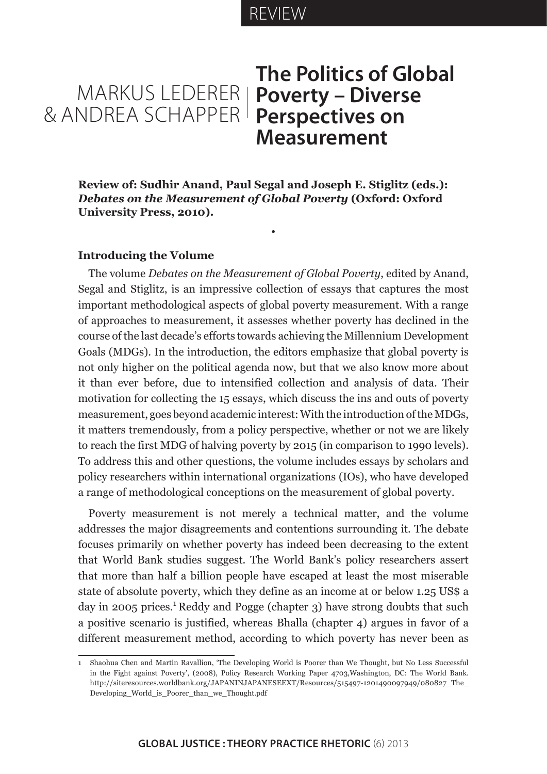# REVIEW

# MARKUS LEDERER & ANDREA SCHAPPER **Perspectives on The Politics of Global Poverty – Diverse Measurement**

**Review of: Sudhir Anand, Paul Segal and Joseph E. Stiglitz (eds.):**  *Debates on the Measurement of Global Poverty* **(Oxford: Oxford University Press, 2010).**

•

#### **Introducing the Volume**

The volume *Debates on the Measurement of Global Poverty*, edited by Anand, Segal and Stiglitz, is an impressive collection of essays that captures the most important methodological aspects of global poverty measurement. With a range of approaches to measurement, it assesses whether poverty has declined in the course of the last decade's efforts towards achieving the Millennium Development Goals (MDGs). In the introduction, the editors emphasize that global poverty is not only higher on the political agenda now, but that we also know more about it than ever before, due to intensified collection and analysis of data. Their motivation for collecting the 15 essays, which discuss the ins and outs of poverty measurement, goes beyond academic interest: With the introduction of the MDGs, it matters tremendously, from a policy perspective, whether or not we are likely to reach the first MDG of halving poverty by 2015 (in comparison to 1990 levels). To address this and other questions, the volume includes essays by scholars and policy researchers within international organizations (IOs), who have developed a range of methodological conceptions on the measurement of global poverty.

Poverty measurement is not merely a technical matter, and the volume addresses the major disagreements and contentions surrounding it. The debate focuses primarily on whether poverty has indeed been decreasing to the extent that World Bank studies suggest. The World Bank's policy researchers assert that more than half a billion people have escaped at least the most miserable state of absolute poverty, which they define as an income at or below 1.25 US\$ a day in 2005 prices.<sup>1</sup> Reddy and Pogge (chapter 3) have strong doubts that such a positive scenario is justified, whereas Bhalla (chapter 4) argues in favor of a different measurement method, according to which poverty has never been as

<sup>1</sup> Shaohua Chen and Martin Ravallion, 'The Developing World is Poorer than We Thought, but No Less Successful in the Fight against Poverty', (2008), Policy Research Working Paper 4703,Washington, DC: The World Bank. http://siteresources.worldbank.org/JAPANINJAPANESEEXT/Resources/515497-1201490097949/080827\_The\_ Developing\_World\_is\_Poorer\_than\_we\_Thought.pdf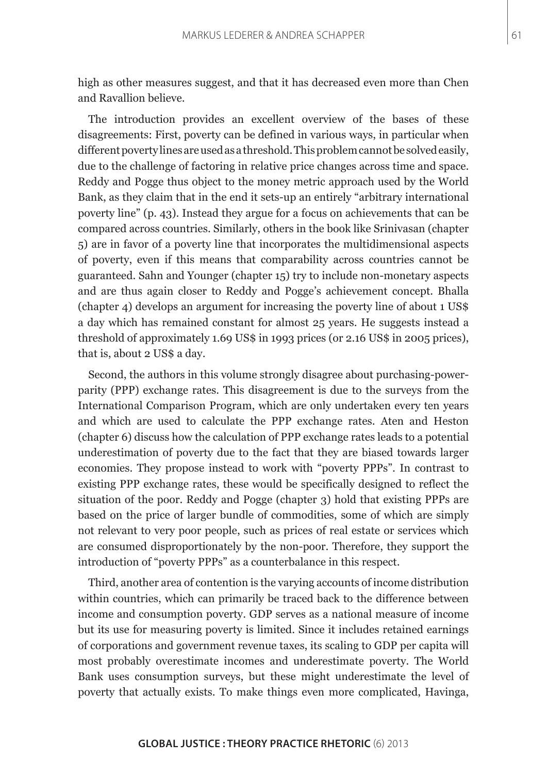high as other measures suggest, and that it has decreased even more than Chen and Ravallion believe.

The introduction provides an excellent overview of the bases of these disagreements: First, poverty can be defined in various ways, in particular when different poverty lines are used as a threshold. This problem cannot be solved easily, due to the challenge of factoring in relative price changes across time and space. Reddy and Pogge thus object to the money metric approach used by the World Bank, as they claim that in the end it sets-up an entirely "arbitrary international poverty line" (p. 43). Instead they argue for a focus on achievements that can be compared across countries. Similarly, others in the book like Srinivasan (chapter 5) are in favor of a poverty line that incorporates the multidimensional aspects of poverty, even if this means that comparability across countries cannot be guaranteed. Sahn and Younger (chapter 15) try to include non-monetary aspects and are thus again closer to Reddy and Pogge's achievement concept. Bhalla (chapter 4) develops an argument for increasing the poverty line of about 1 US\$ a day which has remained constant for almost 25 years. He suggests instead a threshold of approximately 1.69 US\$ in 1993 prices (or 2.16 US\$ in 2005 prices), that is, about 2 US\$ a day.

Second, the authors in this volume strongly disagree about purchasing-powerparity (PPP) exchange rates. This disagreement is due to the surveys from the International Comparison Program, which are only undertaken every ten years and which are used to calculate the PPP exchange rates. Aten and Heston (chapter 6) discuss how the calculation of PPP exchange rates leads to a potential underestimation of poverty due to the fact that they are biased towards larger economies. They propose instead to work with "poverty PPPs". In contrast to existing PPP exchange rates, these would be specifically designed to reflect the situation of the poor. Reddy and Pogge (chapter 3) hold that existing PPPs are based on the price of larger bundle of commodities, some of which are simply not relevant to very poor people, such as prices of real estate or services which are consumed disproportionately by the non-poor. Therefore, they support the introduction of "poverty PPPs" as a counterbalance in this respect.

Third, another area of contention is the varying accounts of income distribution within countries, which can primarily be traced back to the difference between income and consumption poverty. GDP serves as a national measure of income but its use for measuring poverty is limited. Since it includes retained earnings of corporations and government revenue taxes, its scaling to GDP per capita will most probably overestimate incomes and underestimate poverty. The World Bank uses consumption surveys, but these might underestimate the level of poverty that actually exists. To make things even more complicated, Havinga,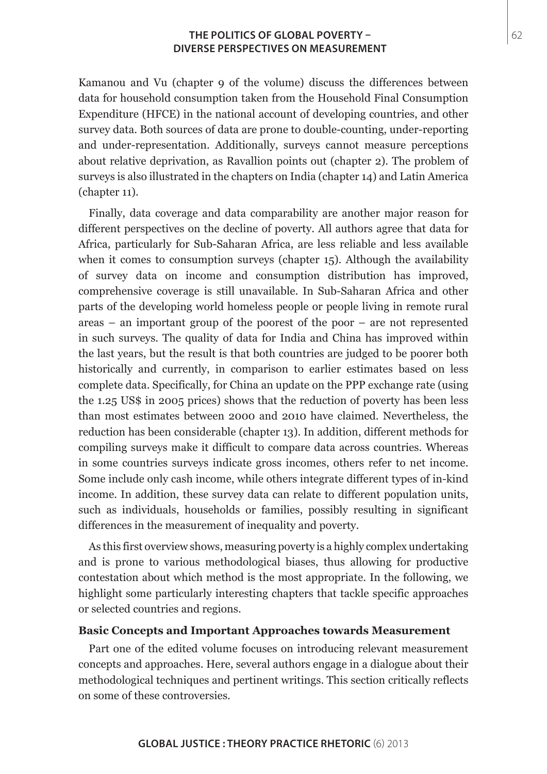Kamanou and Vu (chapter 9 of the volume) discuss the differences between data for household consumption taken from the Household Final Consumption Expenditure (HFCE) in the national account of developing countries, and other survey data. Both sources of data are prone to double-counting, under-reporting and under-representation. Additionally, surveys cannot measure perceptions about relative deprivation, as Ravallion points out (chapter 2). The problem of surveys is also illustrated in the chapters on India (chapter 14) and Latin America (chapter 11).

Finally, data coverage and data comparability are another major reason for different perspectives on the decline of poverty. All authors agree that data for Africa, particularly for Sub-Saharan Africa, are less reliable and less available when it comes to consumption surveys (chapter 15). Although the availability of survey data on income and consumption distribution has improved, comprehensive coverage is still unavailable. In Sub-Saharan Africa and other parts of the developing world homeless people or people living in remote rural areas – an important group of the poorest of the poor – are not represented in such surveys. The quality of data for India and China has improved within the last years, but the result is that both countries are judged to be poorer both historically and currently, in comparison to earlier estimates based on less complete data. Specifically, for China an update on the PPP exchange rate (using the 1.25 US\$ in 2005 prices) shows that the reduction of poverty has been less than most estimates between 2000 and 2010 have claimed. Nevertheless, the reduction has been considerable (chapter 13). In addition, different methods for compiling surveys make it difficult to compare data across countries. Whereas in some countries surveys indicate gross incomes, others refer to net income. Some include only cash income, while others integrate different types of in-kind income. In addition, these survey data can relate to different population units, such as individuals, households or families, possibly resulting in significant differences in the measurement of inequality and poverty.

As this first overview shows, measuring poverty is a highly complex undertaking and is prone to various methodological biases, thus allowing for productive contestation about which method is the most appropriate. In the following, we highlight some particularly interesting chapters that tackle specific approaches or selected countries and regions.

#### **Basic Concepts and Important Approaches towards Measurement**

Part one of the edited volume focuses on introducing relevant measurement concepts and approaches. Here, several authors engage in a dialogue about their methodological techniques and pertinent writings. This section critically reflects on some of these controversies.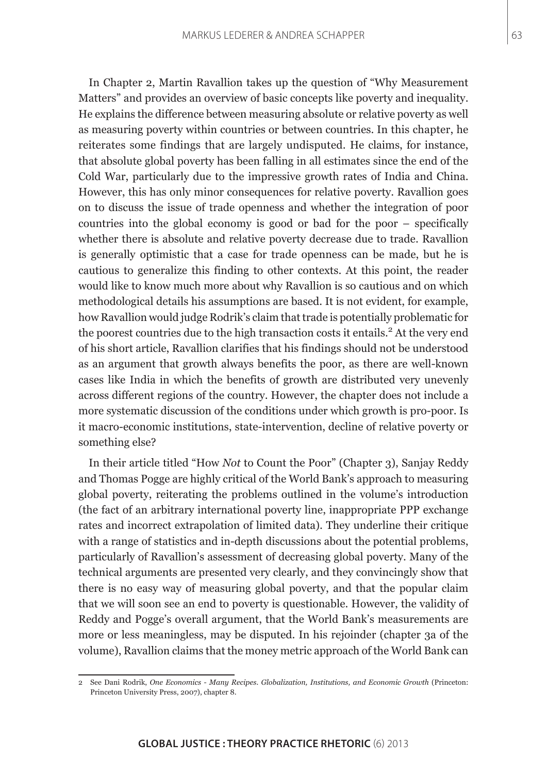In Chapter 2, Martin Ravallion takes up the question of "Why Measurement Matters" and provides an overview of basic concepts like poverty and inequality. He explains the difference between measuring absolute or relative poverty as well as measuring poverty within countries or between countries. In this chapter, he reiterates some findings that are largely undisputed. He claims, for instance, that absolute global poverty has been falling in all estimates since the end of the Cold War, particularly due to the impressive growth rates of India and China. However, this has only minor consequences for relative poverty. Ravallion goes on to discuss the issue of trade openness and whether the integration of poor countries into the global economy is good or bad for the poor – specifically whether there is absolute and relative poverty decrease due to trade. Ravallion is generally optimistic that a case for trade openness can be made, but he is cautious to generalize this finding to other contexts. At this point, the reader would like to know much more about why Ravallion is so cautious and on which methodological details his assumptions are based. It is not evident, for example, how Ravallion would judge Rodrik's claim that trade is potentially problematic for the poorest countries due to the high transaction costs it entails.<sup>2</sup> At the very end of his short article, Ravallion clarifies that his findings should not be understood as an argument that growth always benefits the poor, as there are well-known cases like India in which the benefits of growth are distributed very unevenly across different regions of the country. However, the chapter does not include a more systematic discussion of the conditions under which growth is pro-poor. Is it macro-economic institutions, state-intervention, decline of relative poverty or something else?

In their article titled "How *Not* to Count the Poor" (Chapter 3), Sanjay Reddy and Thomas Pogge are highly critical of the World Bank's approach to measuring global poverty, reiterating the problems outlined in the volume's introduction (the fact of an arbitrary international poverty line, inappropriate PPP exchange rates and incorrect extrapolation of limited data). They underline their critique with a range of statistics and in-depth discussions about the potential problems, particularly of Ravallion's assessment of decreasing global poverty. Many of the technical arguments are presented very clearly, and they convincingly show that there is no easy way of measuring global poverty, and that the popular claim that we will soon see an end to poverty is questionable. However, the validity of Reddy and Pogge's overall argument, that the World Bank's measurements are more or less meaningless, may be disputed. In his rejoinder (chapter 3a of the volume), Ravallion claims that the money metric approach of the World Bank can

<sup>2</sup> See Dani Rodrik, *One Economics - Many Recipes. Globalization, Institutions, and Economic Growth* (Princeton: Princeton University Press, 2007), chapter 8.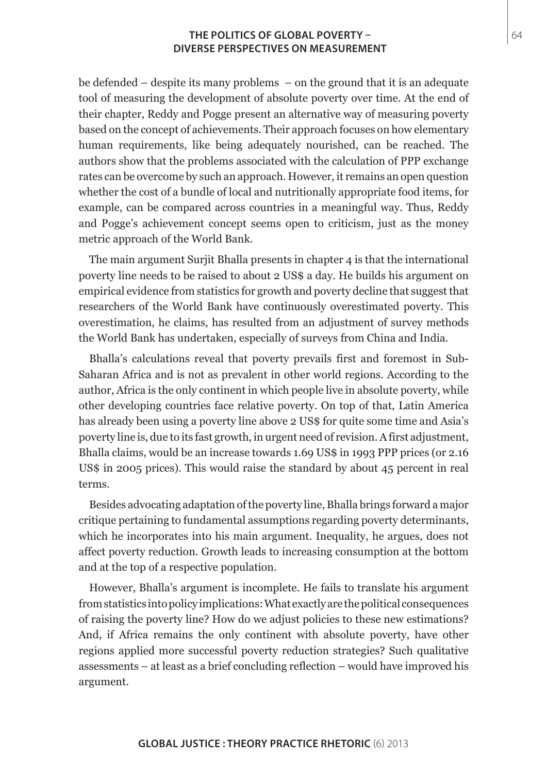be defended – despite its many problems – on the ground that it is an adequate tool of measuring the development of absolute poverty over time. At the end of their chapter, Reddy and Pogge present an alternative way of measuring poverty based on the concept of achievements. Their approach focuses on how elementary human requirements, like being adequately nourished, can be reached. The authors show that the problems associated with the calculation of PPP exchange rates can be overcome by such an approach. However, it remains an open question whether the cost of a bundle of local and nutritionally appropriate food items, for example, can be compared across countries in a meaningful way. Thus, Reddy and Pogge's achievement concept seems open to criticism, just as the money metric approach of the World Bank.

The main argument Surjit Bhalla presents in chapter 4 is that the international poverty line needs to be raised to about 2 US\$ a day. He builds his argument on empirical evidence from statistics for growth and poverty decline that suggest that researchers of the World Bank have continuously overestimated poverty. This overestimation, he claims, has resulted from an adjustment of survey methods the World Bank has undertaken, especially of surveys from China and India.

Bhalla's calculations reveal that poverty prevails first and foremost in Sub-Saharan Africa and is not as prevalent in other world regions. According to the author, Africa is the only continent in which people live in absolute poverty, while other developing countries face relative poverty. On top of that, Latin America has already been using a poverty line above 2 US\$ for quite some time and Asia's poverty line is, due to its fast growth, in urgent need of revision. A first adjustment, Bhalla claims, would be an increase towards 1.69 US\$ in 1993 PPP prices (or 2.16 US\$ in 2005 prices). This would raise the standard by about 45 percent in real terms.

Besides advocating adaptation of the poverty line, Bhalla brings forward a major critique pertaining to fundamental assumptions regarding poverty determinants, which he incorporates into his main argument. Inequality, he argues, does not affect poverty reduction. Growth leads to increasing consumption at the bottom and at the top of a respective population.

However, Bhalla's argument is incomplete. He fails to translate his argument from statistics into policy implications: What exactly are the political consequences of raising the poverty line? How do we adjust policies to these new estimations? And, if Africa remains the only continent with absolute poverty, have other regions applied more successful poverty reduction strategies? Such qualitative assessments – at least as a brief concluding reflection – would have improved his argument.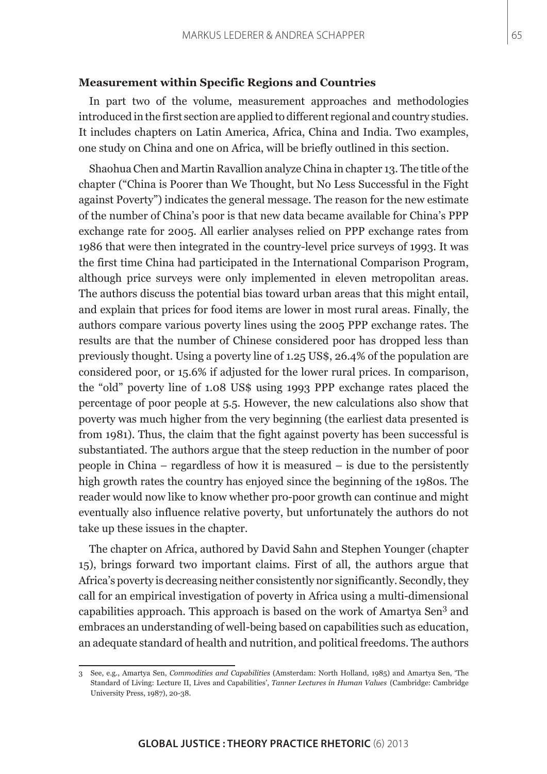#### **Measurement within Specific Regions and Countries**

In part two of the volume, measurement approaches and methodologies introduced in the first section are applied to different regional and country studies. It includes chapters on Latin America, Africa, China and India. Two examples, one study on China and one on Africa, will be briefly outlined in this section.

Shaohua Chen and Martin Ravallion analyze China in chapter 13. The title of the chapter ("China is Poorer than We Thought, but No Less Successful in the Fight against Poverty") indicates the general message. The reason for the new estimate of the number of China's poor is that new data became available for China's PPP exchange rate for 2005. All earlier analyses relied on PPP exchange rates from 1986 that were then integrated in the country-level price surveys of 1993. It was the first time China had participated in the International Comparison Program, although price surveys were only implemented in eleven metropolitan areas. The authors discuss the potential bias toward urban areas that this might entail, and explain that prices for food items are lower in most rural areas. Finally, the authors compare various poverty lines using the 2005 PPP exchange rates. The results are that the number of Chinese considered poor has dropped less than previously thought. Using a poverty line of 1.25 US\$, 26.4% of the population are considered poor, or 15.6% if adjusted for the lower rural prices. In comparison, the "old" poverty line of 1.08 US\$ using 1993 PPP exchange rates placed the percentage of poor people at 5.5. However, the new calculations also show that poverty was much higher from the very beginning (the earliest data presented is from 1981). Thus, the claim that the fight against poverty has been successful is substantiated. The authors argue that the steep reduction in the number of poor people in China – regardless of how it is measured – is due to the persistently high growth rates the country has enjoyed since the beginning of the 1980s. The reader would now like to know whether pro-poor growth can continue and might eventually also influence relative poverty, but unfortunately the authors do not take up these issues in the chapter.

The chapter on Africa, authored by David Sahn and Stephen Younger (chapter 15), brings forward two important claims. First of all, the authors argue that Africa's poverty is decreasing neither consistently nor significantly. Secondly, they call for an empirical investigation of poverty in Africa using a multi-dimensional capabilities approach. This approach is based on the work of Amartya Sen<sup>3</sup> and embraces an understanding of well-being based on capabilities such as education, an adequate standard of health and nutrition, and political freedoms. The authors

<sup>3</sup> See, e.g., Amartya Sen, *Commodities and Capabilities* (Amsterdam: North Holland, 1985) and Amartya Sen, 'The Standard of Living: Lecture II, Lives and Capabilities', *Tanner Lectures in Human Values* (Cambridge: Cambridge University Press, 1987), 20-38.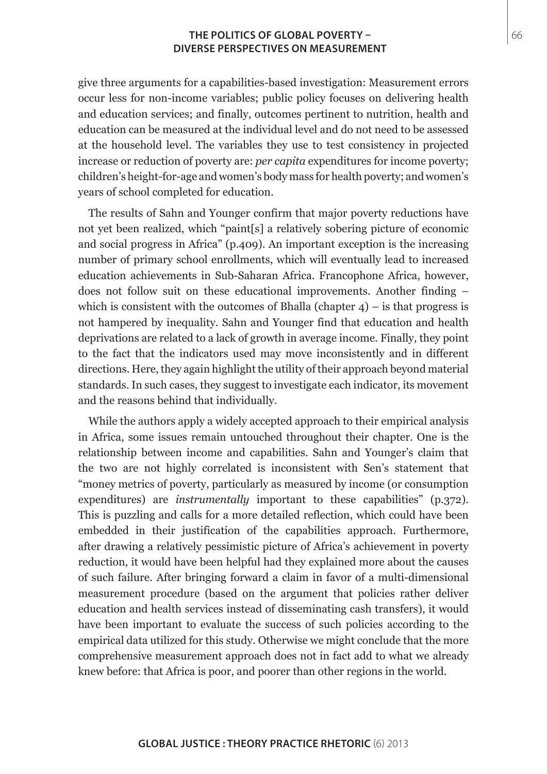give three arguments for a capabilities-based investigation: Measurement errors occur less for non-income variables; public policy focuses on delivering health and education services; and finally, outcomes pertinent to nutrition, health and education can be measured at the individual level and do not need to be assessed at the household level. The variables they use to test consistency in projected increase or reduction of poverty are: *per capita* expenditures for income poverty; children's height-for-age and women's body mass for health poverty; and women's years of school completed for education.

The results of Sahn and Younger confirm that major poverty reductions have not yet been realized, which "paint[s] a relatively sobering picture of economic and social progress in Africa" (p.409). An important exception is the increasing number of primary school enrollments, which will eventually lead to increased education achievements in Sub-Saharan Africa. Francophone Africa, however, does not follow suit on these educational improvements. Another finding – which is consistent with the outcomes of Bhalla (chapter  $4$ ) – is that progress is not hampered by inequality. Sahn and Younger find that education and health deprivations are related to a lack of growth in average income. Finally, they point to the fact that the indicators used may move inconsistently and in different directions. Here, they again highlight the utility of their approach beyond material standards. In such cases, they suggest to investigate each indicator, its movement and the reasons behind that individually.

While the authors apply a widely accepted approach to their empirical analysis in Africa, some issues remain untouched throughout their chapter. One is the relationship between income and capabilities. Sahn and Younger's claim that the two are not highly correlated is inconsistent with Sen's statement that "money metrics of poverty, particularly as measured by income (or consumption expenditures) are *instrumentally* important to these capabilities<sup>"</sup> (p.372). This is puzzling and calls for a more detailed reflection, which could have been embedded in their justification of the capabilities approach. Furthermore, after drawing a relatively pessimistic picture of Africa's achievement in poverty reduction, it would have been helpful had they explained more about the causes of such failure. After bringing forward a claim in favor of a multi-dimensional measurement procedure (based on the argument that policies rather deliver education and health services instead of disseminating cash transfers), it would have been important to evaluate the success of such policies according to the empirical data utilized for this study. Otherwise we might conclude that the more comprehensive measurement approach does not in fact add to what we already knew before: that Africa is poor, and poorer than other regions in the world.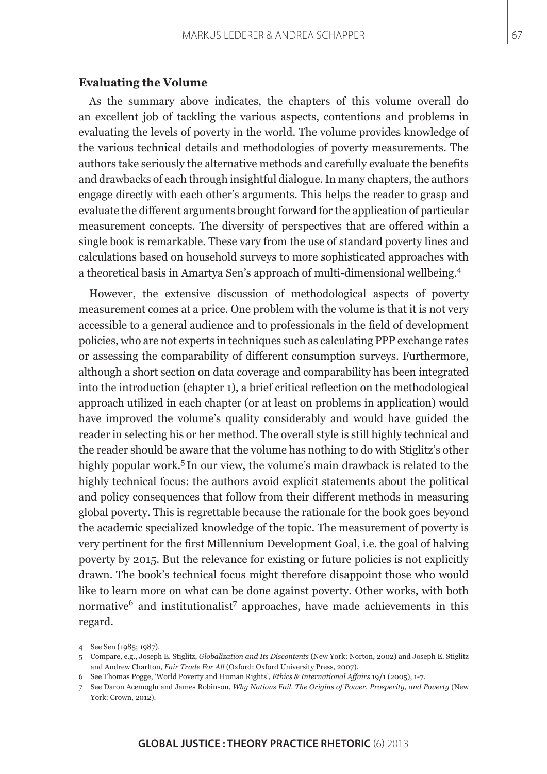## **Evaluating the Volume**

As the summary above indicates, the chapters of this volume overall do an excellent job of tackling the various aspects, contentions and problems in evaluating the levels of poverty in the world. The volume provides knowledge of the various technical details and methodologies of poverty measurements. The authors take seriously the alternative methods and carefully evaluate the benefits and drawbacks of each through insightful dialogue. In many chapters, the authors engage directly with each other's arguments. This helps the reader to grasp and evaluate the different arguments brought forward for the application of particular measurement concepts. The diversity of perspectives that are offered within a single book is remarkable. These vary from the use of standard poverty lines and calculations based on household surveys to more sophisticated approaches with a theoretical basis in Amartya Sen's approach of multi-dimensional wellbeing.<sup>4</sup>

However, the extensive discussion of methodological aspects of poverty measurement comes at a price. One problem with the volume is that it is not very accessible to a general audience and to professionals in the field of development policies, who are not experts in techniques such as calculating PPP exchange rates or assessing the comparability of different consumption surveys. Furthermore, although a short section on data coverage and comparability has been integrated into the introduction (chapter 1), a brief critical reflection on the methodological approach utilized in each chapter (or at least on problems in application) would have improved the volume's quality considerably and would have guided the reader in selecting his or her method. The overall style is still highly technical and the reader should be aware that the volume has nothing to do with Stiglitz's other highly popular work.<sup>5</sup> In our view, the volume's main drawback is related to the highly technical focus: the authors avoid explicit statements about the political and policy consequences that follow from their different methods in measuring global poverty. This is regrettable because the rationale for the book goes beyond the academic specialized knowledge of the topic. The measurement of poverty is very pertinent for the first Millennium Development Goal, i.e. the goal of halving poverty by 2015. But the relevance for existing or future policies is not explicitly drawn. The book's technical focus might therefore disappoint those who would like to learn more on what can be done against poverty. Other works, with both normative<sup>6</sup> and institutionalist<sup>7</sup> approaches, have made achievements in this regard.

<sup>4</sup> See Sen (1985; 1987).

<sup>5</sup> Compare, e.g., Joseph E. Stiglitz, *Globalization and Its Discontents* (New York: Norton, 2002) and Joseph E. Stiglitz and Andrew Charlton, *Fair Trade For All* (Oxford: Oxford University Press, 2007).

<sup>6</sup> See Thomas Pogge, 'World Poverty and Human Rights', *Ethics & International Affairs* 19**/**1 (2005), 1-7.

<sup>7</sup> See Daron Acemoglu and James Robinson, *Why Nations Fail. The Origins of Power, Prosperity, and Poverty* (New York: Crown, 2012).